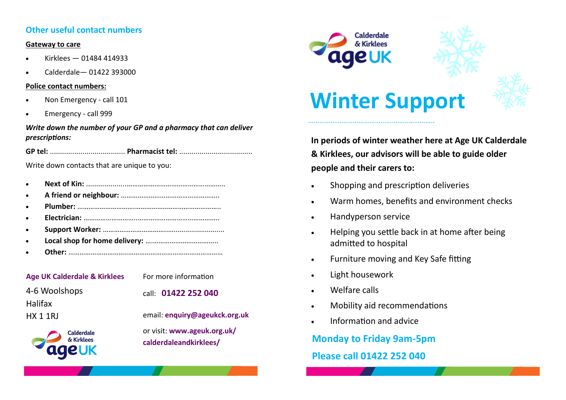## **Other useful contact numbers**

## **Gateway to care**

- Kirklees 01484 414933
- Calderdale— 01422 393000

## **Police contact numbers:**

- Non Emergency call 101
- Emergency call 999

## *Write down the number of your GP and a pharmacy that can deliver prescriptions:*

**GP tel:** ..................................... **Pharmacist tel:** ....................................

Write down contacts that are unique to you:

- **Next of Kin:** ....................……………………………………………..
- **A friend or neighbour:** ……………………………………………..
- **Plumber:** ………………………….……………..………………………..
- **Electrician:** ………………………..……………………………………..
- **Support Worker:** ……………………………..….........................
- **Local shop for home delivery:** ….……………………………..
- **Other:** …………………………..……………………………………………

| <b>Age UK Calderdale &amp; Kirklees</b> |
|-----------------------------------------|
| 4-6 Woolshops                           |
| Halifax                                 |
| HX 1 1RJ                                |
| <b>Calderdale</b><br>& Kirklees         |

ageuk

For more information

call: **01422 252 040** 

email: **enquiry@ageukck.org.uk**

or visit: **www.ageuk.org.uk/ calderdaleandkirklees/**





# **Winter Support**

…………………………………………………………..

**In periods of winter weather here at Age UK Calderdale & Kirklees, our advisors will be able to guide older people and their carers to:**

- Shopping and prescription deliveries
- Warm homes, benefits and environment checks
- Handyperson service
- Helping you settle back in at home after being admitted to hospital
- Furniture moving and Key Safe fitting
- Light housework
- Welfare calls
- Mobility aid recommendations
- Information and advice

**Monday to Friday 9am-5pm Please call 01422 252 040**